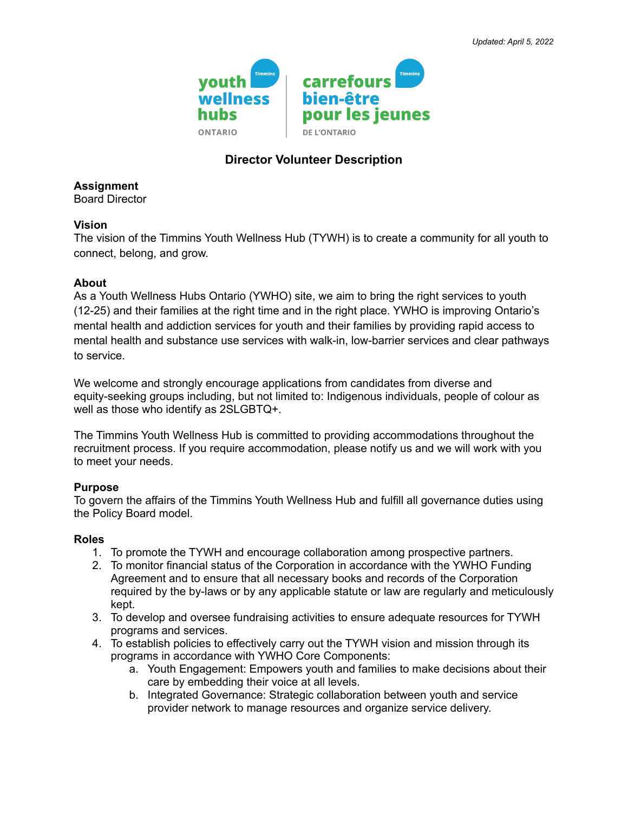

# **Director Volunteer Description**

**Assignment**

Board Director

### **Vision**

The vision of the Timmins Youth Wellness Hub (TYWH) is to create a community for all youth to connect, belong, and grow.

### **About**

As a Youth Wellness Hubs Ontario (YWHO) site, we aim to bring the right services to youth (12-25) and their families at the right time and in the right place. YWHO is improving Ontario's mental health and addiction services for youth and their families by providing rapid access to mental health and substance use services with walk-in, low-barrier services and clear pathways to service.

We welcome and strongly encourage applications from candidates from diverse and equity-seeking groups including, but not limited to: Indigenous individuals, people of colour as well as those who identify as 2SLGBTQ+.

The Timmins Youth Wellness Hub is committed to providing accommodations throughout the recruitment process. If you require accommodation, please notify us and we will work with you to meet your needs.

## **Purpose**

To govern the affairs of the Timmins Youth Wellness Hub and fulfill all governance duties using the Policy Board model.

#### **Roles**

- 1. To promote the TYWH and encourage collaboration among prospective partners.
- 2. To monitor financial status of the Corporation in accordance with the YWHO Funding Agreement and to ensure that all necessary books and records of the Corporation required by the by-laws or by any applicable statute or law are regularly and meticulously kept.
- 3. To develop and oversee fundraising activities to ensure adequate resources for TYWH programs and services.
- 4. To establish policies to effectively carry out the TYWH vision and mission through its programs in accordance with YWHO Core Components:
	- a. Youth Engagement: Empowers youth and families to make decisions about their care by embedding their voice at all levels.
	- b. Integrated Governance: Strategic collaboration between youth and service provider network to manage resources and organize service delivery.